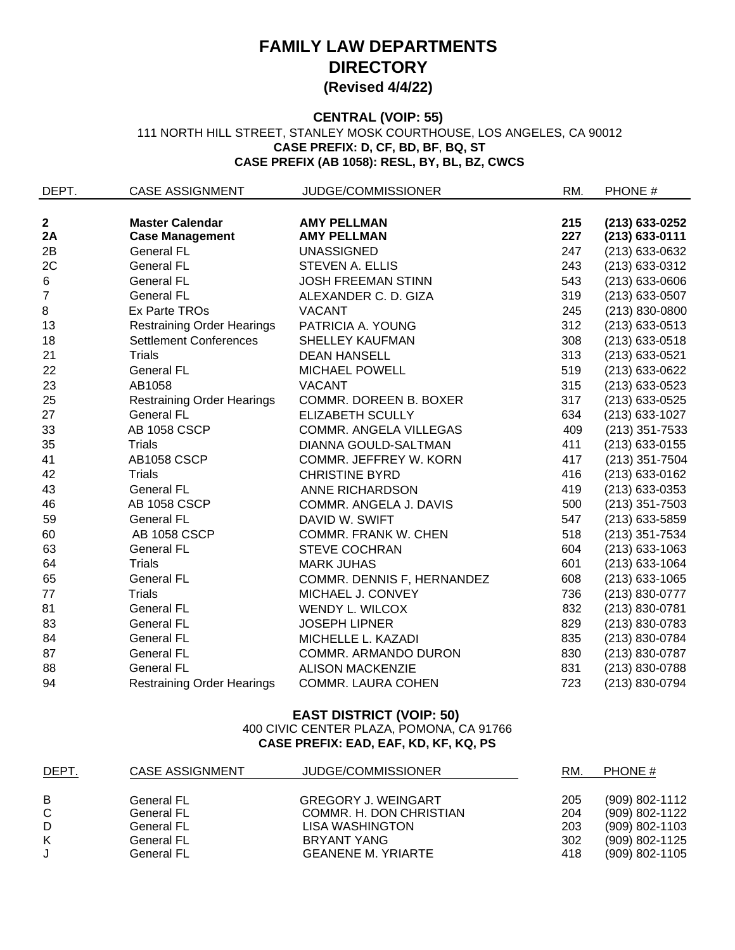# **FAMILY LAW DEPARTMENTS DIRECTORY (Revised 4/4/22)**

### **CENTRAL (VOIP: 55)** 111 NORTH HILL STREET, STANLEY MOSK COURTHOUSE, LOS ANGELES, CA 90012 **CASE PREFIX: D, CF, BD, BF**, **BQ, ST CASE PREFIX (AB 1058): RESL, BY, BL, BZ, CWCS**

| DEPT.            | <b>CASE ASSIGNMENT</b>            | JUDGE/COMMISSIONER            | RM. | PHONE #          |
|------------------|-----------------------------------|-------------------------------|-----|------------------|
|                  |                                   |                               |     |                  |
| $\mathbf 2$      | <b>Master Calendar</b>            | <b>AMY PELLMAN</b>            | 215 | (213) 633-0252   |
| 2A               | <b>Case Management</b>            | <b>AMY PELLMAN</b>            | 227 | $(213)$ 633-0111 |
| 2B               | <b>General FL</b>                 | <b>UNASSIGNED</b>             | 247 | (213) 633-0632   |
| 2C               | <b>General FL</b>                 | STEVEN A. ELLIS               | 243 | (213) 633-0312   |
| 6                | <b>General FL</b>                 | <b>JOSH FREEMAN STINN</b>     | 543 | (213) 633-0606   |
| $\boldsymbol{7}$ | <b>General FL</b>                 | ALEXANDER C. D. GIZA          | 319 | (213) 633-0507   |
| 8                | Ex Parte TROs                     | <b>VACANT</b>                 | 245 | (213) 830-0800   |
| 13               | <b>Restraining Order Hearings</b> | PATRICIA A. YOUNG             | 312 | (213) 633-0513   |
| 18               | <b>Settlement Conferences</b>     | <b>SHELLEY KAUFMAN</b>        | 308 | $(213)$ 633-0518 |
| 21               | <b>Trials</b>                     | <b>DEAN HANSELL</b>           | 313 | (213) 633-0521   |
| 22               | <b>General FL</b>                 | <b>MICHAEL POWELL</b>         | 519 | (213) 633-0622   |
| 23               | AB1058                            | <b>VACANT</b>                 | 315 | (213) 633-0523   |
| 25               | <b>Restraining Order Hearings</b> | <b>COMMR. DOREEN B. BOXER</b> | 317 | (213) 633-0525   |
| 27               | <b>General FL</b>                 | <b>ELIZABETH SCULLY</b>       | 634 | (213) 633-1027   |
| 33               | AB 1058 CSCP                      | COMMR. ANGELA VILLEGAS        | 409 | $(213)$ 351-7533 |
| 35               | <b>Trials</b>                     | DIANNA GOULD-SALTMAN          | 411 | (213) 633-0155   |
| 41               | <b>AB1058 CSCP</b>                | COMMR. JEFFREY W. KORN        | 417 | $(213)$ 351-7504 |
| 42               | <b>Trials</b>                     | <b>CHRISTINE BYRD</b>         | 416 | (213) 633-0162   |
| 43               | <b>General FL</b>                 | ANNE RICHARDSON               | 419 | $(213)$ 633-0353 |
| 46               | AB 1058 CSCP                      | COMMR. ANGELA J. DAVIS        | 500 | $(213)$ 351-7503 |
| 59               | <b>General FL</b>                 | DAVID W. SWIFT                | 547 | (213) 633-5859   |
| 60               | <b>AB 1058 CSCP</b>               | <b>COMMR. FRANK W. CHEN</b>   | 518 | (213) 351-7534   |
| 63               | <b>General FL</b>                 | <b>STEVE COCHRAN</b>          | 604 | (213) 633-1063   |
| 64               | <b>Trials</b>                     | <b>MARK JUHAS</b>             | 601 | (213) 633-1064   |
| 65               | <b>General FL</b>                 | COMMR. DENNIS F, HERNANDEZ    | 608 | $(213)$ 633-1065 |
| 77               | Trials                            | MICHAEL J. CONVEY             | 736 | (213) 830-0777   |
| 81               | <b>General FL</b>                 | WENDY L. WILCOX               | 832 | (213) 830-0781   |
| 83               | <b>General FL</b>                 | <b>JOSEPH LIPNER</b>          | 829 | (213) 830-0783   |
| 84               | <b>General FL</b>                 | MICHELLE L. KAZADI            | 835 | (213) 830-0784   |
| 87               | <b>General FL</b>                 | COMMR. ARMANDO DURON          | 830 | (213) 830-0787   |
| 88               | <b>General FL</b>                 | <b>ALISON MACKENZIE</b>       | 831 | (213) 830-0788   |
| 94               | <b>Restraining Order Hearings</b> | <b>COMMR. LAURA COHEN</b>     | 723 | (213) 830-0794   |

## **EAST DISTRICT (VOIP: 50)** 400 CIVIC CENTER PLAZA, POMONA, CA 91766 **CASE PREFIX: EAD, EAF, KD, KF, KQ, PS**

| <u>DEPT.</u> | CASE ASSIGNMENT   | JUDGE/COMMISSIONER         | RM. | PHONE #          |
|--------------|-------------------|----------------------------|-----|------------------|
| B            | <b>General FL</b> | <b>GREGORY J. WEINGART</b> | 205 | (909) 802-1112   |
| C            | <b>General FL</b> | COMMR. H. DON CHRISTIAN    | 204 | (909) 802-1122   |
| D            | <b>General FL</b> | LISA WASHINGTON            | 203 | (909) 802-1103   |
| K            | <b>General FL</b> | BRYANT YANG                | 302 | (909) 802-1125   |
| J            | <b>General FL</b> | <b>GEANENE M. YRIARTE</b>  | 418 | $(909)$ 802-1105 |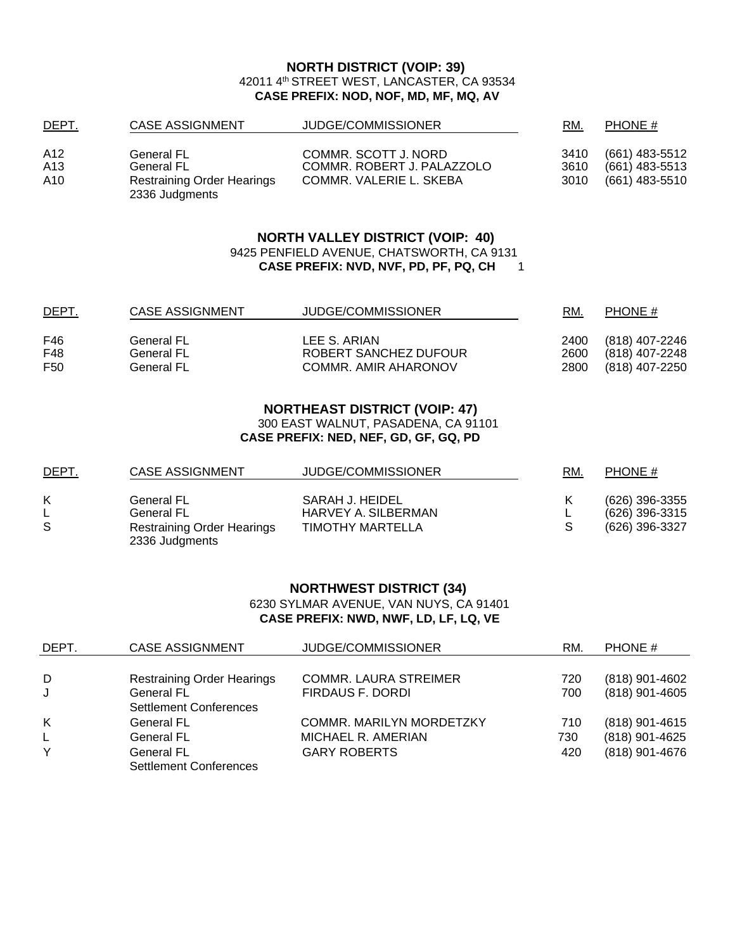#### **NORTH DISTRICT (VOIP: 39)** 42011 4th STREET WEST, LANCASTER, CA 93534 **CASE PREFIX: NOD, NOF, MD, MF, MQ, AV**

| <u>DEPT.</u> | CASE ASSIGNMENT                                     | JUDGE/COMMISSIONER         | RM.  | PHONE #        |
|--------------|-----------------------------------------------------|----------------------------|------|----------------|
| A12          | <b>General FL</b>                                   | COMMR. SCOTT J. NORD       | 3410 | (661) 483-5512 |
| A13          | <b>General FL</b>                                   | COMMR. ROBERT J. PALAZZOLO | 3610 | (661) 483-5513 |
| A10          | <b>Restraining Order Hearings</b><br>2336 Judgments | COMMR. VALERIE L. SKEBA    | 3010 | (661) 483-5510 |

#### **NORTH VALLEY DISTRICT (VOIP: 40)** 9425 PENFIELD AVENUE, CHATSWORTH, CA 9131 **CASE PREFIX: NVD, NVF, PD, PF, PQ, CH** 1

| <u>DEPT.</u> | CASE ASSIGNMENT          | JUDGE/COMMISSIONER                    | RM.          | PHONE #                          |
|--------------|--------------------------|---------------------------------------|--------------|----------------------------------|
| F46<br>F48   | General FL<br>General FL | LEE S. ARIAN<br>ROBERT SANCHEZ DUFOUR | 2400<br>2600 | (818) 407-2246<br>(818) 407-2248 |
| F50          | <b>General FL</b>        | COMMR. AMIR AHARONOV                  | 2800         | (818) 407-2250                   |

## **NORTHEAST DISTRICT (VOIP: 47)**

300 EAST WALNUT, PASADENA, CA 91101

**CASE PREFIX: NED, NEF, GD, GF, GQ, PD**

| <u>DEPT.</u> | CASE ASSIGNMENT                                     | JUDGE/COMMISSIONER      | RM. | PHONE #        |
|--------------|-----------------------------------------------------|-------------------------|-----|----------------|
| K            | General FL                                          | SARAH J. HEIDEL         |     | (626) 396-3355 |
|              | <b>General FL</b>                                   | HARVEY A. SILBERMAN     |     | (626) 396-3315 |
| S            | <b>Restraining Order Hearings</b><br>2336 Judgments | <b>TIMOTHY MARTELLA</b> |     | (626) 396-3327 |

## **NORTHWEST DISTRICT (34)**

6230 SYLMAR AVENUE, VAN NUYS, CA 91401 **CASE PREFIX: NWD, NWF, LD, LF, LQ, VE**

| DEPT. | <b>CASE ASSIGNMENT</b>            | <b>JUDGE/COMMISSIONER</b>       | RM. | PHONE #          |
|-------|-----------------------------------|---------------------------------|-----|------------------|
|       |                                   |                                 |     |                  |
| D     | <b>Restraining Order Hearings</b> | <b>COMMR. LAURA STREIMER</b>    | 720 | (818) 901-4602   |
| J     | <b>General FL</b>                 | FIRDAUS F. DORDI                | 700 | (818) 901-4605   |
|       | <b>Settlement Conferences</b>     |                                 |     |                  |
| K     | <b>General FL</b>                 | <b>COMMR. MARILYN MORDETZKY</b> | 710 | $(818)$ 901-4615 |
| L.    | General FL                        | MICHAEL R. AMERIAN              | 730 | (818) 901-4625   |
| Y     | <b>General FL</b>                 | <b>GARY ROBERTS</b>             | 420 | (818) 901-4676   |
|       | <b>Settlement Conferences</b>     |                                 |     |                  |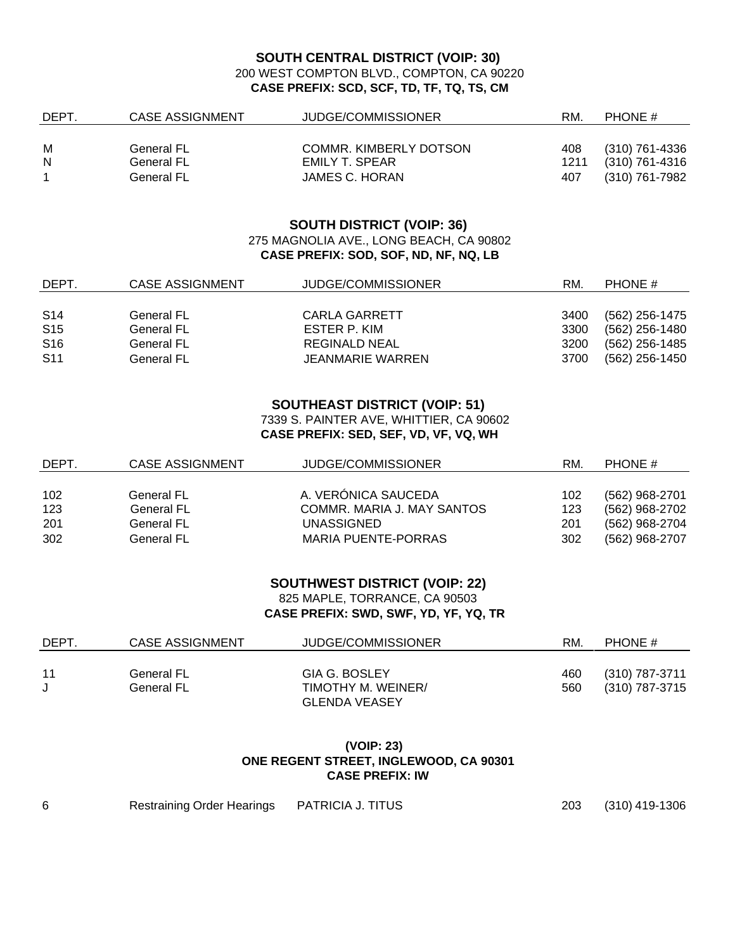#### **SOUTH CENTRAL DISTRICT (VOIP: 30)** 200 WEST COMPTON BLVD., COMPTON, CA 90220 **CASE PREFIX: SCD, SCF, TD, TF, TQ, TS, CM**

| <b>DEPT</b> | CASE ASSIGNMENT | JUDGE/COMMISSIONER     | RM.  | PHONE #        |
|-------------|-----------------|------------------------|------|----------------|
|             |                 |                        |      |                |
| M           | General FL      | COMMR. KIMBERLY DOTSON | 408  | (310) 761-4336 |
| N           | General FL      | EMILY T. SPEAR         | 1211 | (310) 761-4316 |
|             | General FL      | JAMES C. HORAN         | 407  | (310) 761-7982 |

#### **SOUTH DISTRICT (VOIP: 36)** 275 MAGNOLIA AVE., LONG BEACH, CA 90802 **CASE PREFIX: SOD, SOF, ND, NF, NQ, LB**

| DEPT.           | <b>CASE ASSIGNMENT</b> | JUDGE/COMMISSIONER   | RM.  | PHONE #        |
|-----------------|------------------------|----------------------|------|----------------|
|                 |                        |                      |      |                |
| <b>S14</b>      | General FL             | CARLA GARRETT        | 3400 | (562) 256-1475 |
| S <sub>15</sub> | <b>General FL</b>      | ESTER P. KIM         | 3300 | (562) 256-1480 |
| S <sub>16</sub> | <b>General FL</b>      | <b>REGINALD NEAL</b> | 3200 | (562) 256-1485 |
| <b>S11</b>      | General FL             | JEANMARIE WARREN     | 3700 | (562) 256-1450 |

#### **SOUTHEAST DISTRICT (VOIP: 51)**

7339 S. PAINTER AVE, WHITTIER, CA 90602 **CASE PREFIX: SED, SEF, VD, VF, VQ, WH**

| DEPT. | CASE ASSIGNMENT | JUDGE/COMMISSIONER         | RM. | PHONE #          |
|-------|-----------------|----------------------------|-----|------------------|
|       |                 |                            |     |                  |
| 102   | General FL      | A. VERÓNICA SAUCEDA        | 102 | (562) 968-2701   |
| 123   | General FL      | COMMR. MARIA J. MAY SANTOS | 123 | $(562)$ 968-2702 |
| 201   | General FL      | UNASSIGNED                 | 201 | (562) 968-2704   |
| 302   | General FL      | MARIA PUENTE-PORRAS        | 302 | (562) 968-2707   |

#### **SOUTHWEST DISTRICT (VOIP: 22)**

825 MAPLE, TORRANCE, CA 90503 **CASE PREFIX: SWD, SWF, YD, YF, YQ, TR**

| <b>DEPT</b> | CASE ASSIGNMENT | JUDGE/COMMISSIONER   | RM. | PHONE #        |
|-------------|-----------------|----------------------|-----|----------------|
|             |                 |                      |     |                |
| 11          | General FL      | GIA G. BOSLEY        | 460 | (310) 787-3711 |
|             | General FL      | TIMOTHY M. WEINER/   | 560 | (310) 787-3715 |
|             |                 | <b>GLENDA VEASEY</b> |     |                |

#### **(VOIP: 23) ONE REGENT STREET, INGLEWOOD, CA 90301 CASE PREFIX: IW**

| <b>Restraining Order Hearings</b> | PATRICIA J. TITUS |  |
|-----------------------------------|-------------------|--|

203 (310) 419-1306